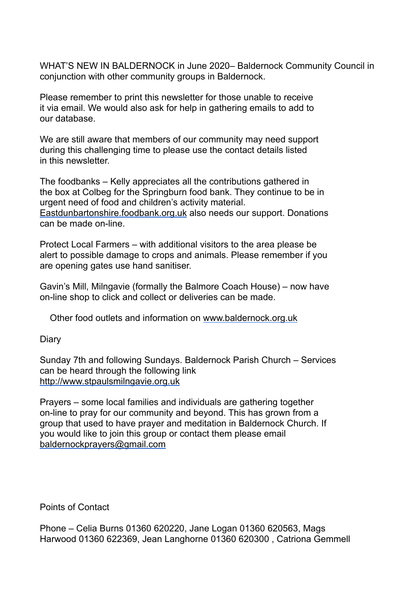WHAT'S NEW IN BALDERNOCK in June 2020– Baldernock Community Council in conjunction with other community groups in Baldernock.

Please remember to print this newsletter for those unable to receive it via email. We would also ask for help in gathering emails to add to our database.

We are still aware that members of our community may need support during this challenging time to please use the contact details listed in this newsletter.

The foodbanks – Kelly appreciates all the contributions gathered in the box at Colbeg for the Springburn food bank. They continue to be in urgent need of food and children's activity material. [Eastdunbartonshire.foodbank.org.uk](http://eastdunbartonshire.foodbank.org.uk/) also needs our support. Donations can be made on-line.

Protect Local Farmers – with additional visitors to the area please be alert to possible damage to crops and animals. Please remember if you are opening gates use hand sanitiser.

Gavin's Mill, Milngavie (formally the Balmore Coach House) – now have on-line shop to click and collect or deliveries can be made.

Other food outlets and information on [www.baldernock.org.uk](http://www.baldernock.org.uk/)

**Diary** 

Sunday 7th and following Sundays. Baldernock Parish Church – Services can be heard through the following link [http://www.stpaulsmilngavie.org.uk](http://www.stpaulsmilngavie.org.uk/)

Prayers – some local families and individuals are gathering together on-line to pray for our community and beyond. This has grown from a group that used to have prayer and meditation in Baldernock Church. If you would like to join this group or contact them please email [baldernockprayers@gmail.com](mailto:baldernockprayers@gmail.com)

Points of Contact

Phone – Celia Burns 01360 620220, Jane Logan 01360 620563, Mags Harwood 01360 622369, Jean Langhorne 01360 620300 , Catriona Gemmell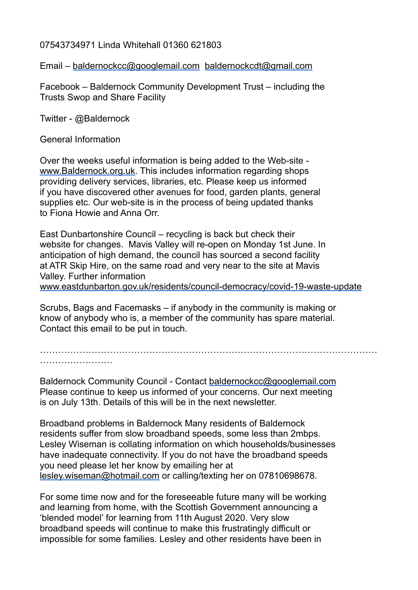## 07543734971 Linda Whitehall 01360 621803

Email – [baldernockcc@googlemail.com](mailto:baldernockcc@googlemail.com) [baldernockcdt@gmail.com](mailto:baldernockcdt@gmail.com)

Facebook – Baldernock Community Development Trust – including the Trusts Swop and Share Facility

Twitter - @Baldernock

General Information

Over the weeks useful information is being added to the Web-site [www.Baldernock.org.uk.](http://www.baldernock.org.uk/) This includes information regarding shops providing delivery services, libraries, etc. Please keep us informed if you have discovered other avenues for food, garden plants, general supplies etc. Our web-site is in the process of being updated thanks to Fiona Howie and Anna Orr.

East Dunbartonshire Council – recycling is back but check their website for changes. Mavis Valley will re-open on Monday 1st June. In anticipation of high demand, the council has sourced a second facility at ATR Skip Hire, on the same road and very near to the site at Mavis Valley. Further information [www.eastdunbarton.gov.uk/residents/council-democracy/covid-19-waste-update](http://www.eastdunbarton.gov.uk/residents/council-democracy/covid-19-waste-update)

Scrubs, Bags and Facemasks – if anybody in the community is making or know of anybody who is, a member of the community has spare material. Contact this email to be put in touch.

………………………………………………………………………………………………… ……………………

Baldernock Community Council - Contact [baldernockcc@googlemail.com](mailto:baldernockcc@googlemail.com) Please continue to keep us informed of your concerns. Our next meeting is on July 13th. Details of this will be in the next newsletter.

Broadband problems in Baldernock Many residents of Baldernock residents suffer from slow broadband speeds, some less than 2mbps. Lesley Wiseman is collating information on which households/businesses have inadequate connectivity. If you do not have the broadband speeds you need please let her know by emailing her at [lesley.wiseman@hotmail.com](mailto:lesley.wiseman@hotmail.com) or calling/texting her on 07810698678.

For some time now and for the foreseeable future many will be working and learning from home, with the Scottish Government announcing a 'blended model' for learning from 11th August 2020. Very slow broadband speeds will continue to make this frustratingly difficult or impossible for some families. Lesley and other residents have been in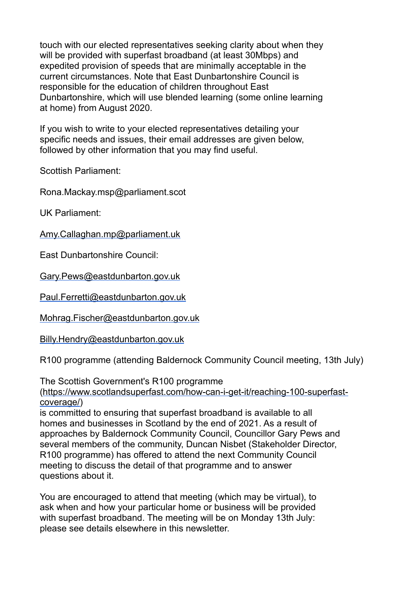touch with our elected representatives seeking clarity about when they will be provided with superfast broadband (at least 30Mbps) and expedited provision of speeds that are minimally acceptable in the current circumstances. Note that East Dunbartonshire Council is responsible for the education of children throughout East Dunbartonshire, which will use blended learning (some online learning at home) from August 2020.

If you wish to write to your elected representatives detailing your specific needs and issues, their email addresses are given below. followed by other information that you may find useful.

Scottish Parliament:

Rona.Mackay.msp@parliament.scot

UK Parliament:

[Amy.Callaghan.mp@parliament.uk](mailto:Amy.Callaghan.mp@parliament.uk)

East Dunbartonshire Council:

[Gary.Pews@eastdunbarton.gov.uk](mailto:Gary.Pews@eastdunbarton.gov.uk)

[Paul.Ferretti@eastdunbarton.gov.uk](mailto:Paul.Ferretti@eastdunbarton.gov.uk)

[Mohrag.Fischer@eastdunbarton.gov.uk](mailto:Mohrag.Fischer@eastdunbarton.gov.uk)

[Billy.Hendry@eastdunbarton.gov.uk](mailto:Billy.Hendry@eastdunbarton.gov.uk)

R100 programme (attending Baldernock Community Council meeting, 13th July)

The Scottish Government's R100 programme

[\(https://www.scotlandsuperfast.com/how-can-i-get-it/reaching-100-superfast](https://www.scotlandsuperfast.com/how-can-i-get-it/reaching-100-superfast-coverage/)[coverage/\)](https://www.scotlandsuperfast.com/how-can-i-get-it/reaching-100-superfast-coverage/)

is committed to ensuring that superfast broadband is available to all homes and businesses in Scotland by the end of 2021. As a result of approaches by Baldernock Community Council, Councillor Gary Pews and several members of the community, Duncan Nisbet (Stakeholder Director, R100 programme) has offered to attend the next Community Council meeting to discuss the detail of that programme and to answer questions about it.

You are encouraged to attend that meeting (which may be virtual), to ask when and how your particular home or business will be provided with superfast broadband. The meeting will be on Monday 13th July: please see details elsewhere in this newsletter.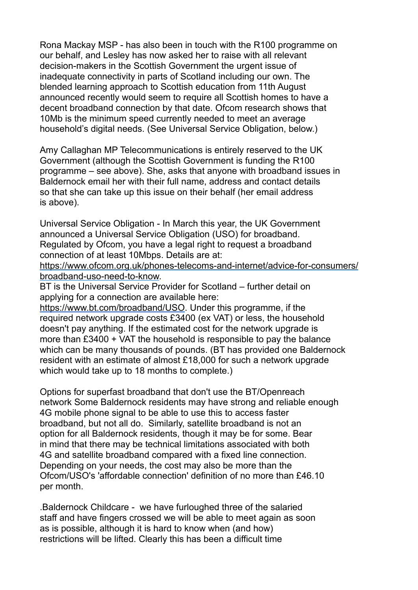Rona Mackay MSP - has also been in touch with the R100 programme on our behalf, and Lesley has now asked her to raise with all relevant decision-makers in the Scottish Government the urgent issue of inadequate connectivity in parts of Scotland including our own. The blended learning approach to Scottish education from 11th August announced recently would seem to require all Scottish homes to have a decent broadband connection by that date. Ofcom research shows that 10Mb is the minimum speed currently needed to meet an average household's digital needs. (See Universal Service Obligation, below.)

Amy Callaghan MP Telecommunications is entirely reserved to the UK Government (although the Scottish Government is funding the R100 programme – see above). She, asks that anyone with broadband issues in Baldernock email her with their full name, address and contact details so that she can take up this issue on their behalf (her email address is above).

Universal Service Obligation - In March this year, the UK Government announced a Universal Service Obligation (USO) for broadband. Regulated by Ofcom, you have a legal right to request a broadband connection of at least 10Mbps. Details are at:

[https://www.ofcom.org.uk/phones-telecoms-and-internet/advice-for-consumers/](https://www.ofcom.org.uk/phones-telecoms-and-internet/advice-for-consumers/broadband-uso-need-to-know) [broadband-uso-need-to-know.](https://www.ofcom.org.uk/phones-telecoms-and-internet/advice-for-consumers/broadband-uso-need-to-know)

BT is the Universal Service Provider for Scotland – further detail on applying for a connection are available here:

<https://www.bt.com/broadband/USO>. Under this programme, if the required network upgrade costs £3400 (ex VAT) or less, the household doesn't pay anything. If the estimated cost for the network upgrade is more than £3400 + VAT the household is responsible to pay the balance which can be many thousands of pounds. (BT has provided one Baldernock resident with an estimate of almost £18,000 for such a network upgrade which would take up to 18 months to complete.)

Options for superfast broadband that don't use the BT/Openreach network Some Baldernock residents may have strong and reliable enough 4G mobile phone signal to be able to use this to access faster broadband, but not all do. Similarly, satellite broadband is not an option for all Baldernock residents, though it may be for some. Bear in mind that there may be technical limitations associated with both 4G and satellite broadband compared with a fixed line connection. Depending on your needs, the cost may also be more than the Ofcom/USO's 'affordable connection' definition of no more than £46.10 per month.

.Baldernock Childcare - we have furloughed three of the salaried staff and have fingers crossed we will be able to meet again as soon as is possible, although it is hard to know when (and how) restrictions will be lifted. Clearly this has been a difficult time